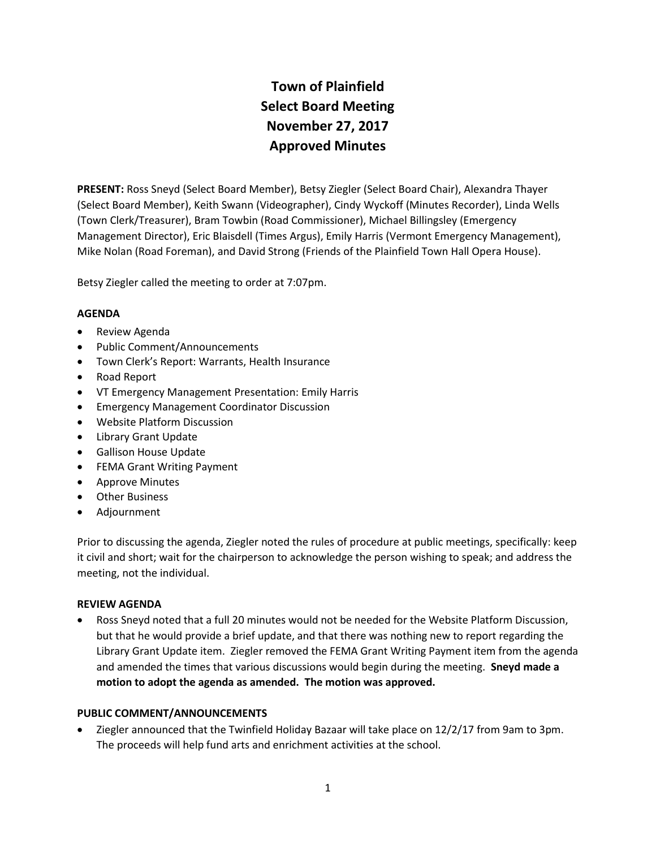# **Town of Plainfield Select Board Meeting November 27, 2017 Approved Minutes**

**PRESENT:** Ross Sneyd (Select Board Member), Betsy Ziegler (Select Board Chair), Alexandra Thayer (Select Board Member), Keith Swann (Videographer), Cindy Wyckoff (Minutes Recorder), Linda Wells (Town Clerk/Treasurer), Bram Towbin (Road Commissioner), Michael Billingsley (Emergency Management Director), Eric Blaisdell (Times Argus), Emily Harris (Vermont Emergency Management), Mike Nolan (Road Foreman), and David Strong (Friends of the Plainfield Town Hall Opera House).

Betsy Ziegler called the meeting to order at 7:07pm.

## **AGENDA**

- Review Agenda
- Public Comment/Announcements
- Town Clerk's Report: Warrants, Health Insurance
- Road Report
- VT Emergency Management Presentation: Emily Harris
- **•** Emergency Management Coordinator Discussion
- Website Platform Discussion
- Library Grant Update
- Gallison House Update
- FEMA Grant Writing Payment
- Approve Minutes
- Other Business
- Adjournment

Prior to discussing the agenda, Ziegler noted the rules of procedure at public meetings, specifically: keep it civil and short; wait for the chairperson to acknowledge the person wishing to speak; and address the meeting, not the individual.

## **REVIEW AGENDA**

 Ross Sneyd noted that a full 20 minutes would not be needed for the Website Platform Discussion, but that he would provide a brief update, and that there was nothing new to report regarding the Library Grant Update item. Ziegler removed the FEMA Grant Writing Payment item from the agenda and amended the times that various discussions would begin during the meeting. **Sneyd made a motion to adopt the agenda as amended. The motion was approved.**

## **PUBLIC COMMENT/ANNOUNCEMENTS**

 Ziegler announced that the Twinfield Holiday Bazaar will take place on 12/2/17 from 9am to 3pm. The proceeds will help fund arts and enrichment activities at the school.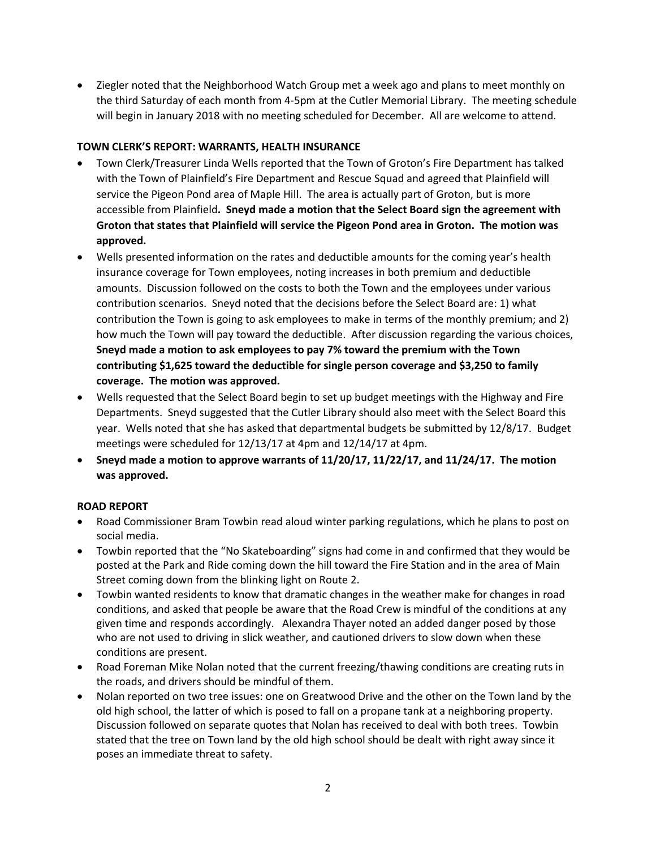Ziegler noted that the Neighborhood Watch Group met a week ago and plans to meet monthly on the third Saturday of each month from 4-5pm at the Cutler Memorial Library. The meeting schedule will begin in January 2018 with no meeting scheduled for December. All are welcome to attend.

## **TOWN CLERK'S REPORT: WARRANTS, HEALTH INSURANCE**

- Town Clerk/Treasurer Linda Wells reported that the Town of Groton's Fire Department has talked with the Town of Plainfield's Fire Department and Rescue Squad and agreed that Plainfield will service the Pigeon Pond area of Maple Hill. The area is actually part of Groton, but is more accessible from Plainfield**. Sneyd made a motion that the Select Board sign the agreement with Groton that states that Plainfield will service the Pigeon Pond area in Groton. The motion was approved.**
- Wells presented information on the rates and deductible amounts for the coming year's health insurance coverage for Town employees, noting increases in both premium and deductible amounts. Discussion followed on the costs to both the Town and the employees under various contribution scenarios. Sneyd noted that the decisions before the Select Board are: 1) what contribution the Town is going to ask employees to make in terms of the monthly premium; and 2) how much the Town will pay toward the deductible. After discussion regarding the various choices, **Sneyd made a motion to ask employees to pay 7% toward the premium with the Town contributing \$1,625 toward the deductible for single person coverage and \$3,250 to family coverage. The motion was approved.**
- Wells requested that the Select Board begin to set up budget meetings with the Highway and Fire Departments. Sneyd suggested that the Cutler Library should also meet with the Select Board this year. Wells noted that she has asked that departmental budgets be submitted by 12/8/17. Budget meetings were scheduled for 12/13/17 at 4pm and 12/14/17 at 4pm.
- **Sneyd made a motion to approve warrants of 11/20/17, 11/22/17, and 11/24/17. The motion was approved.**

# **ROAD REPORT**

- Road Commissioner Bram Towbin read aloud winter parking regulations, which he plans to post on social media.
- Towbin reported that the "No Skateboarding" signs had come in and confirmed that they would be posted at the Park and Ride coming down the hill toward the Fire Station and in the area of Main Street coming down from the blinking light on Route 2.
- Towbin wanted residents to know that dramatic changes in the weather make for changes in road conditions, and asked that people be aware that the Road Crew is mindful of the conditions at any given time and responds accordingly. Alexandra Thayer noted an added danger posed by those who are not used to driving in slick weather, and cautioned drivers to slow down when these conditions are present.
- Road Foreman Mike Nolan noted that the current freezing/thawing conditions are creating ruts in the roads, and drivers should be mindful of them.
- Nolan reported on two tree issues: one on Greatwood Drive and the other on the Town land by the old high school, the latter of which is posed to fall on a propane tank at a neighboring property. Discussion followed on separate quotes that Nolan has received to deal with both trees. Towbin stated that the tree on Town land by the old high school should be dealt with right away since it poses an immediate threat to safety.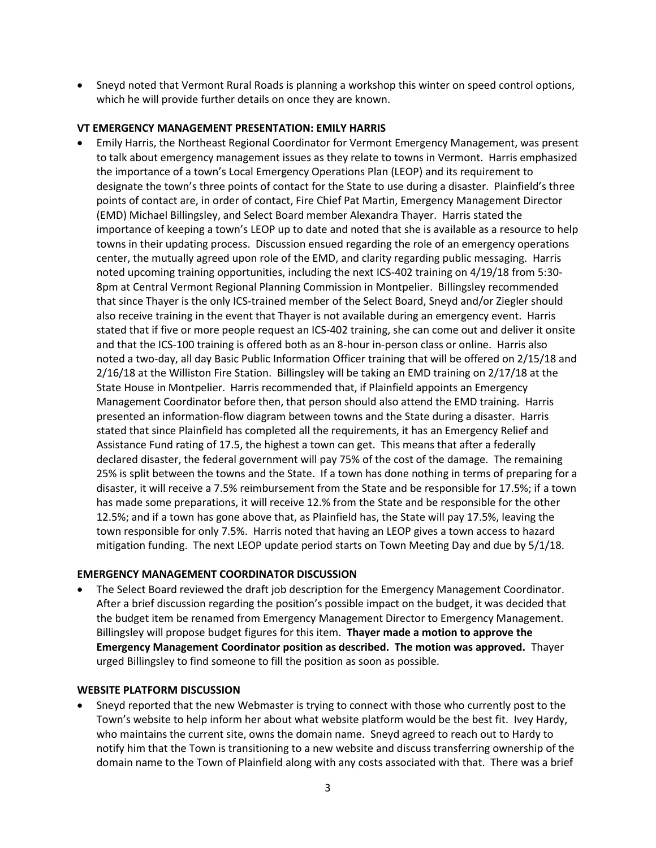Sneyd noted that Vermont Rural Roads is planning a workshop this winter on speed control options, which he will provide further details on once they are known.

### **VT EMERGENCY MANAGEMENT PRESENTATION: EMILY HARRIS**

 Emily Harris, the Northeast Regional Coordinator for Vermont Emergency Management, was present to talk about emergency management issues as they relate to towns in Vermont. Harris emphasized the importance of a town's Local Emergency Operations Plan (LEOP) and its requirement to designate the town's three points of contact for the State to use during a disaster. Plainfield's three points of contact are, in order of contact, Fire Chief Pat Martin, Emergency Management Director (EMD) Michael Billingsley, and Select Board member Alexandra Thayer. Harris stated the importance of keeping a town's LEOP up to date and noted that she is available as a resource to help towns in their updating process. Discussion ensued regarding the role of an emergency operations center, the mutually agreed upon role of the EMD, and clarity regarding public messaging. Harris noted upcoming training opportunities, including the next ICS-402 training on 4/19/18 from 5:30- 8pm at Central Vermont Regional Planning Commission in Montpelier. Billingsley recommended that since Thayer is the only ICS-trained member of the Select Board, Sneyd and/or Ziegler should also receive training in the event that Thayer is not available during an emergency event. Harris stated that if five or more people request an ICS-402 training, she can come out and deliver it onsite and that the ICS-100 training is offered both as an 8-hour in-person class or online. Harris also noted a two-day, all day Basic Public Information Officer training that will be offered on 2/15/18 and 2/16/18 at the Williston Fire Station. Billingsley will be taking an EMD training on 2/17/18 at the State House in Montpelier. Harris recommended that, if Plainfield appoints an Emergency Management Coordinator before then, that person should also attend the EMD training. Harris presented an information-flow diagram between towns and the State during a disaster. Harris stated that since Plainfield has completed all the requirements, it has an Emergency Relief and Assistance Fund rating of 17.5, the highest a town can get. This means that after a federally declared disaster, the federal government will pay 75% of the cost of the damage. The remaining 25% is split between the towns and the State. If a town has done nothing in terms of preparing for a disaster, it will receive a 7.5% reimbursement from the State and be responsible for 17.5%; if a town has made some preparations, it will receive 12.% from the State and be responsible for the other 12.5%; and if a town has gone above that, as Plainfield has, the State will pay 17.5%, leaving the town responsible for only 7.5%. Harris noted that having an LEOP gives a town access to hazard mitigation funding. The next LEOP update period starts on Town Meeting Day and due by 5/1/18.

#### **EMERGENCY MANAGEMENT COORDINATOR DISCUSSION**

 The Select Board reviewed the draft job description for the Emergency Management Coordinator. After a brief discussion regarding the position's possible impact on the budget, it was decided that the budget item be renamed from Emergency Management Director to Emergency Management. Billingsley will propose budget figures for this item. **Thayer made a motion to approve the Emergency Management Coordinator position as described. The motion was approved.** Thayer urged Billingsley to find someone to fill the position as soon as possible.

#### **WEBSITE PLATFORM DISCUSSION**

 Sneyd reported that the new Webmaster is trying to connect with those who currently post to the Town's website to help inform her about what website platform would be the best fit. Ivey Hardy, who maintains the current site, owns the domain name. Sneyd agreed to reach out to Hardy to notify him that the Town is transitioning to a new website and discuss transferring ownership of the domain name to the Town of Plainfield along with any costs associated with that. There was a brief